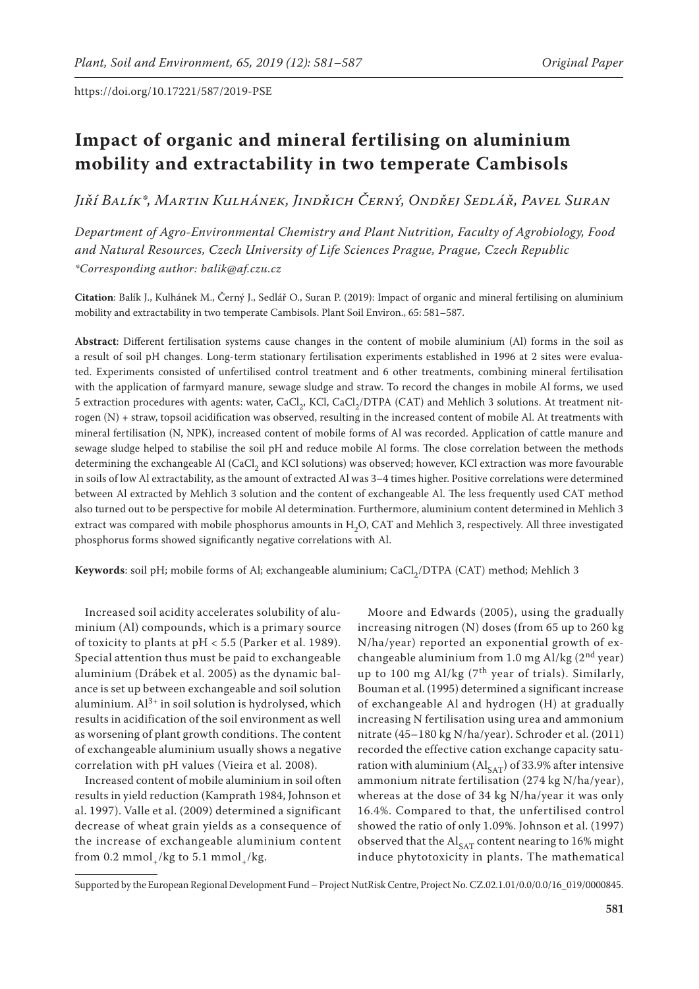# **Impact of organic and mineral fertilising on aluminium mobility and extractability in two temperate Cambisols**

*Jiří Balík\*, Martin Kulhánek, Jindřich Černý, Ondřej Sedlář, Pavel Suran*

*Department of Agro-Environmental Chemistry and Plant Nutrition, Faculty of Agrobiology, Food and Natural Resources, Czech University of Life Sciences Prague, Prague, Czech Republic \*Corresponding author: balik@af.czu.cz*

**Citation**: Balík J., Kulhánek M., Černý J., Sedlář O., Suran P. (2019): Impact of organic and mineral fertilising on aluminium mobility and extractability in two temperate Cambisols. Plant Soil Environ., 65: 581–587.

**Abstract**: Different fertilisation systems cause changes in the content of mobile aluminium (Al) forms in the soil as a result of soil pH changes. Long-term stationary fertilisation experiments established in 1996 at 2 sites were evaluated. Experiments consisted of unfertilised control treatment and 6 other treatments, combining mineral fertilisation with the application of farmyard manure, sewage sludge and straw. To record the changes in mobile Al forms, we used 5 extraction procedures with agents: water, CaCl<sub>2</sub>, KCl, CaCl<sub>2</sub>/DTPA (CAT) and Mehlich 3 solutions. At treatment nitrogen (N) + straw, topsoil acidification was observed, resulting in the increased content of mobile Al. At treatments with mineral fertilisation (N, NPK), increased content of mobile forms of Al was recorded. Application of cattle manure and sewage sludge helped to stabilise the soil pH and reduce mobile Al forms. The close correlation between the methods determining the exchangeable Al (CaCl<sub>2</sub> and KCl solutions) was observed; however, KCl extraction was more favourable in soils of low Al extractability, as the amount of extracted Al was 3–4 times higher. Positive correlations were determined between Al extracted by Mehlich 3 solution and the content of exchangeable Al. The less frequently used CAT method also turned out to be perspective for mobile Al determination. Furthermore, aluminium content determined in Mehlich 3 extract was compared with mobile phosphorus amounts in H<sub>2</sub>O, CAT and Mehlich 3, respectively. All three investigated phosphorus forms showed significantly negative correlations with Al.

Keywords: soil pH; mobile forms of Al; exchangeable aluminium; CaCl<sub>2</sub>/DTPA (CAT) method; Mehlich 3

Increased soil acidity accelerates solubility of aluminium (Al) compounds, which is a primary source of toxicity to plants at pH < 5.5 (Parker et al. 1989). Special attention thus must be paid to exchangeable aluminium (Drábek et al. 2005) as the dynamic balance is set up between exchangeable and soil solution aluminium.  $Al^{3+}$  in soil solution is hydrolysed, which results in acidification of the soil environment as well as worsening of plant growth conditions. The content of exchangeable aluminium usually shows a negative correlation with pH values (Vieira et al. 2008).

Increased content of mobile aluminium in soil often results in yield reduction (Kamprath 1984, Johnson et al. 1997). Valle et al. (2009) determined a significant decrease of wheat grain yields as a consequence of the increase of exchangeable aluminium content from 0.2 mmol /kg to 5.1 mmol /kg.

Moore and Edwards (2005), using the gradually increasing nitrogen (N) doses (from 65 up to 260 kg N/ha/year) reported an exponential growth of exchangeable aluminium from 1.0 mg Al/kg  $(2<sup>nd</sup> year)$ up to 100 mg Al/kg  $(7<sup>th</sup>$  year of trials). Similarly, Bouman et al. (1995) determined a significant increase of exchangeable Al and hydrogen (H) at gradually increasing N fertilisation using urea and ammonium nitrate (45–180 kg N/ha/year). Schroder et al. (2011) recorded the effective cation exchange capacity saturation with aluminium ( $AI<sub>SAT</sub>$ ) of 33.9% after intensive ammonium nitrate fertilisation (274 kg N/ha/year), whereas at the dose of 34 kg N/ha/year it was only 16.4%. Compared to that, the unfertilised control showed the ratio of only 1.09%. Johnson et al. (1997) observed that the  $\text{Al}_{\text{SAT}}$  content nearing to 16% might induce phytotoxicity in plants. The mathematical

Supported by the European Regional Development Fund – Project NutRisk Centre, Project No. CZ.02.1.01/0.0/0.0/16\_019/0000845.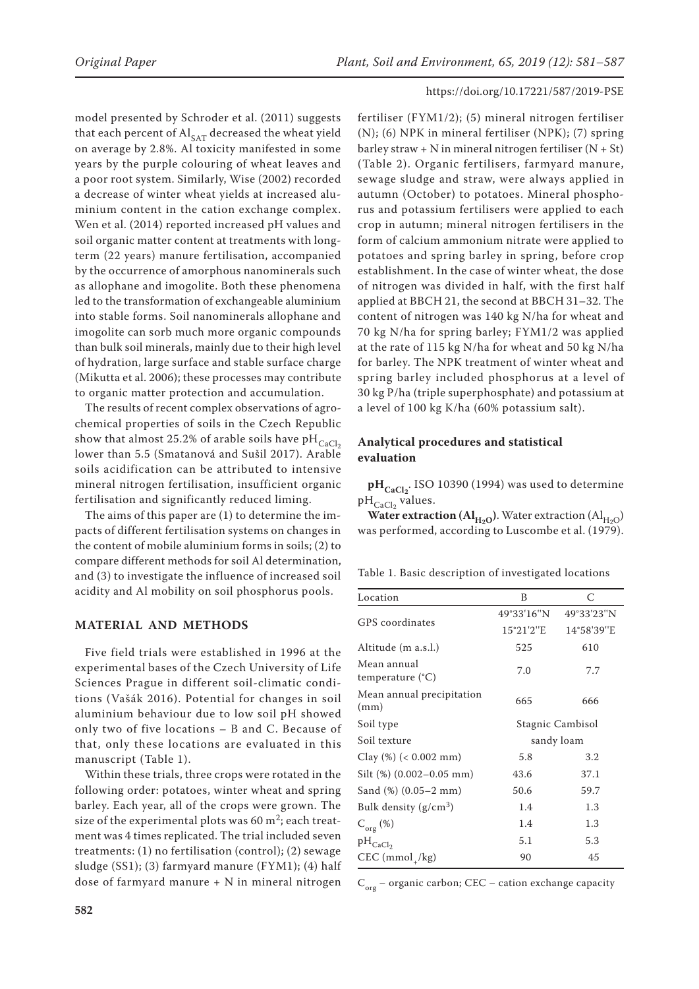model presented by Schroder et al. (2011) suggests that each percent of  $\text{Al}_{\text{SAT}}$  decreased the wheat yield on average by 2.8%. Al toxicity manifested in some years by the purple colouring of wheat leaves and a poor root system. Similarly, Wise (2002) recorded a decrease of winter wheat yields at increased aluminium content in the cation exchange complex. Wen et al. (2014) reported increased pH values and soil organic matter content at treatments with longterm (22 years) manure fertilisation, accompanied by the occurrence of amorphous nanominerals such as allophane and imogolite. Both these phenomena led to the transformation of exchangeable aluminium into stable forms. Soil nanominerals allophane and imogolite can sorb much more organic compounds than bulk soil minerals, mainly due to their high level of hydration, large surface and stable surface charge (Mikutta et al. 2006); these processes may contribute to organic matter protection and accumulation.

The results of recent complex observations of agrochemical properties of soils in the Czech Republic show that almost 25.2% of arable soils have pH $_{CaCl<sub>2</sub>}$ lower than 5.5 (Smatanová and Sušil 2017). Arable soils acidification can be attributed to intensive mineral nitrogen fertilisation, insufficient organic fertilisation and significantly reduced liming.

The aims of this paper are (1) to determine the impacts of different fertilisation systems on changes in the content of mobile aluminium forms in soils; (2) to compare different methods for soil Al determination, and (3) to investigate the influence of increased soil acidity and Al mobility on soil phosphorus pools.

#### **Material and methods**

Five field trials were established in 1996 at the experimental bases of the Czech University of Life Sciences Prague in different soil-climatic conditions (Vašák 2016). Potential for changes in soil aluminium behaviour due to low soil pH showed only two of five locations – B and C. Because of that, only these locations are evaluated in this manuscript (Table 1).

Within these trials, three crops were rotated in the following order: potatoes, winter wheat and spring barley. Each year, all of the crops were grown. The size of the experimental plots was 60  $m^2$ ; each treatment was 4 times replicated. The trial included seven treatments: (1) no fertilisation (control); (2) sewage sludge (SS1); (3) farmyard manure (FYM1); (4) half dose of farmyard manure  $+$  N in mineral nitrogen fertiliser (FYM1/2); (5) mineral nitrogen fertiliser (N); (6) NPK in mineral fertiliser (NPK); (7) spring barley straw + N in mineral nitrogen fertiliser  $(N + St)$ (Table 2). Organic fertilisers, farmyard manure, sewage sludge and straw, were always applied in autumn (October) to potatoes. Mineral phosphorus and potassium fertilisers were applied to each crop in autumn; mineral nitrogen fertilisers in the form of calcium ammonium nitrate were applied to potatoes and spring barley in spring, before crop establishment. In the case of winter wheat, the dose of nitrogen was divided in half, with the first half applied at BBCH 21, the second at BBCH 31–32. The content of nitrogen was 140 kg N/ha for wheat and 70 kg N/ha for spring barley; FYM1/2 was applied at the rate of 115 kg N/ha for wheat and 50 kg N/ha for barley. The NPK treatment of winter wheat and spring barley included phosphorus at a level of 30 kg P/ha (triple superphosphate) and potassium at a level of 100 kg K/ha (60% potassium salt).

## **Analytical procedures and statistical evaluation**

 $pH_{\text{CaCl}_2}$ . ISO 10390 (1994) was used to determine  $pH_{CaCl<sub>2</sub>}$  values.

**Water extraction (Al<sub>H<sub>2</sub>O</sub>)**. Water extraction (Al<sub>H<sub>2</sub>O</sub>) was performed, according to Luscombe et al. (1979).

Table 1. Basic description of investigated locations

| Location                                 | B                   | C                |  |
|------------------------------------------|---------------------|------------------|--|
|                                          | 49°33'16"N          | 49°33'23"N       |  |
| <b>GPS</b> coordinates                   | $15^{\circ}21'2''E$ | 14°58'39"E       |  |
| Altitude (m a.s.l.)                      | 525                 | 610              |  |
| Mean annual<br>temperature $(^{\circ}C)$ | 7.0                 | 7.7              |  |
| Mean annual precipitation<br>(mm)        | 665                 | 666              |  |
| Soil type                                |                     | Stagnic Cambisol |  |
| Soil texture                             | sandy loam          |                  |  |
| Clay $(\%)$ (< 0.002 mm)                 | 5.8                 | 3.2              |  |
| Silt $(\%)$ (0.002-0.05 mm)              | 43.6                | 37.1             |  |
| Sand $(\%)$ $(0.05-2 \text{ mm})$        | 50.6                | 59.7             |  |
| Bulk density $(g/cm^3)$                  | 1.4                 | 1.3              |  |
| $C_{org}(\%)$                            | 1.4                 | 1.3              |  |
| $pH_{CaCl2}$                             | 5.1                 | 5.3              |  |
| $CEC (mmol+/kg)$                         | 90                  | 45               |  |

 $\rm C_{org}$  – organic carbon; CEC – cation exchange capacity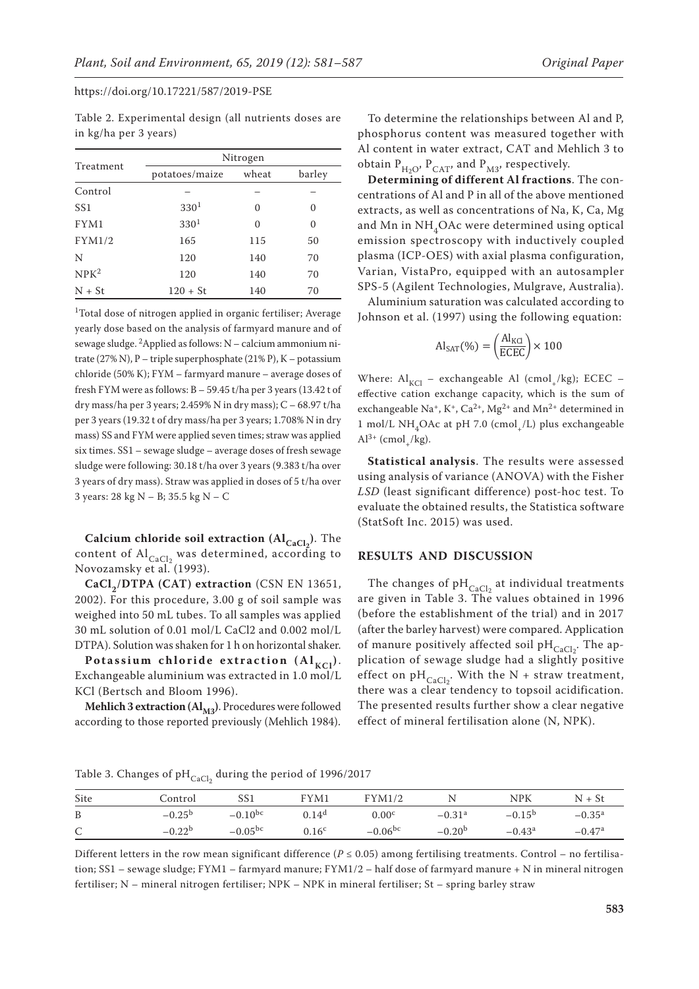Table 2. Experimental design (all nutrients doses are in kg/ha per 3 years)

|                  | Nitrogen         |          |          |  |  |  |
|------------------|------------------|----------|----------|--|--|--|
| Treatment        | potatoes/maize   | wheat    | barley   |  |  |  |
| Control          |                  |          |          |  |  |  |
| SS <sub>1</sub>  | 330 <sup>1</sup> | $\Omega$ | $\theta$ |  |  |  |
| FYM1             | 330 <sup>1</sup> | $\Omega$ | $\theta$ |  |  |  |
| FYM1/2           | 165              | 115      | 50       |  |  |  |
| N                | 120              | 140      | 70       |  |  |  |
| NPK <sup>2</sup> | 120              | 140      | 70       |  |  |  |
| $N + St$         | $120 + St$       | 140      | 70       |  |  |  |

<sup>1</sup>Total dose of nitrogen applied in organic fertiliser; Average yearly dose based on the analysis of farmyard manure and of sewage sludge. 2Applied as follows: N – calcium ammonium nitrate (27% N), P – triple superphosphate (21% P), K – potassium chloride (50% K); FYM – farmyard manure – average doses of fresh FYM were as follows: B – 59.45 t/ha per 3 years (13.42 t of dry mass/ha per 3 years; 2.459% N in dry mass);  $C - 68.97 t/ha$ per 3 years (19.32 t of dry mass/ha per 3 years; 1.708% N in dry mass) SS and FYM were applied seven times; straw was applied six times. SS1 – sewage sludge – average doses of fresh sewage sludge were following: 30.18 t/ha over 3 years (9.383 t/ha over 3 years of dry mass). Straw was applied in doses of 5 t/ha over 3 years: 28 kg N – B; 35.5 kg N – C

**Calcium chloride soil extraction (Al<sub>CaCl2</sub>). The** content of  $Al_{CaCl_2}$  was determined, according to Novozamsky et al. (1993).

CaCl<sub>2</sub>/DTPA (CAT) extraction (CSN EN 13651, 2002). For this procedure, 3.00 g of soil sample was weighed into 50 mL tubes. To all samples was applied 30 mL solution of 0.01 mol/L CaCl2 and 0.002 mol/L DTPA). Solution was shaken for 1 h on horizontal shaker.

Potassium chloride extraction  $(Al_{KCl})$ . Exchangeable aluminium was extracted in 1.0 mol/L KCl (Bertsch and Bloom 1996).

**Mehlich 3 extraction**  $(Al_{M3})$ **. Procedures were followed** according to those reported previously (Mehlich 1984).

To determine the relationships between Al and P, phosphorus content was measured together with Al content in water extract, CAT and Mehlich 3 to obtain  $P_{H2O}$ ,  $P_{CAT}$ , and  $P_{M3}$ , respectively.

**Determining of different Al fractions**. The concentrations of Al and P in all of the above mentioned extracts, as well as concentrations of Na, K, Ca, Mg and Mn in NH<sub>4</sub>OAc were determined using optical emission spectroscopy with inductively coupled plasma (ICP-OES) with axial plasma configuration, Varian, VistaPro, equipped with an autosampler SPS-5 (Agilent Technologies, Mulgrave, Australia).

Aluminium saturation was calculated according to Johnson et al. (1997) using the following equation:

$$
Al_{SAT}(\%) = \left(\frac{Al_{KCl}}{ECEC}\right) \times 100
$$

Where:  $Al_{\text{KCl}}$  – exchangeable Al (cmol<sub>+</sub>/kg); ECEC – effective cation exchange capacity, which is the sum of exchangeable Na<sup>+</sup>, K<sup>+</sup>, Ca<sup>2+</sup>, Mg<sup>2+</sup> and Mn<sup>2+</sup> determined in 1 mol/L NH<sub>4</sub>OAc at pH 7.0 (cmol<sub>1</sub>/L) plus exchangeable  $Al^{3+}$  (cmol /kg).

**Statistical analysis**. The results were assessed using analysis of variance (ANOVA) with the Fisher *LSD* (least significant difference) post-hoc test. To evaluate the obtained results, the Statistica software (StatSoft Inc. 2015) was used.

#### **Results and Discussion**

The changes of  $pH_{\text{CaCl}_2}$  at individual treatments are given in Table 3. The values obtained in 1996 (before the establishment of the trial) and in 2017 (after the barley harvest) were compared. Application of manure positively affected soil  $pH_{CaCl<sub>2</sub>}$ . The application of sewage sludge had a slightly positive effect on  $pH_{\text{CaCl}_2}$ . With the N + straw treatment, there was a clear tendency to topsoil acidification. The presented results further show a clear negative effect of mineral fertilisation alone (N, NPK).

Table 3. Changes of p $_{\rm{CaCl_2}}$  during the period of 1996/2017

| Site         | Control         | SS1          | FYM1              | FYM1/2            |                      | <b>NPK</b>      | $N + St$             |
|--------------|-----------------|--------------|-------------------|-------------------|----------------------|-----------------|----------------------|
| B            | $-0.25^{\rm b}$ | $-0.10^{bc}$ | 0.14 <sup>d</sup> | 0.00 <sup>c</sup> | $-0.31$ <sup>a</sup> | $-0.15^{b}$     | $-0.35^{\rm a}$      |
| $\mathsf{C}$ | $-0.22b$        | $-0.05^{bc}$ | 0.16 <sup>c</sup> | $-0.06^{bc}$      | $-0.20b$             | $-0.43^{\rm a}$ | $-0.47$ <sup>a</sup> |

Different letters in the row mean significant difference ( $P \le 0.05$ ) among fertilising treatments. Control – no fertilisation; SS1 – sewage sludge; FYM1 – farmyard manure; FYM1/2 – half dose of farmyard manure + N in mineral nitrogen fertiliser; N – mineral nitrogen fertiliser; NPK – NPK in mineral fertiliser; St – spring barley straw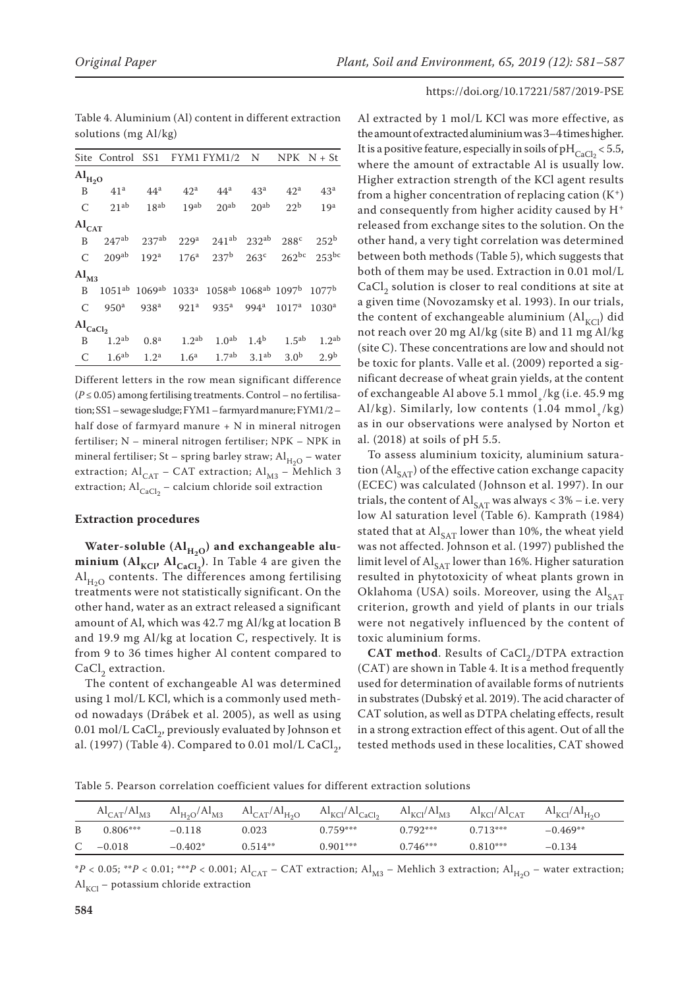|                                 | Site Control SS1 FYM1 FYM1/2 N NPK $N + St$ |                    |                   |                                                                                                                                   |                                 |                 |                              |
|---------------------------------|---------------------------------------------|--------------------|-------------------|-----------------------------------------------------------------------------------------------------------------------------------|---------------------------------|-----------------|------------------------------|
| $\rm Al_{H_2O}$                 |                                             |                    |                   |                                                                                                                                   |                                 |                 |                              |
| B                               | 41 <sup>a</sup>                             | 44 <sup>a</sup>    | 42 <sup>a</sup>   | $44^a$ $43^a$                                                                                                                     |                                 | 42 <sup>a</sup> | 43 <sup>a</sup>              |
| C                               | 21 <sup>ab</sup>                            | 18 <sup>ab</sup>   |                   | $19ab$ $20ab$                                                                                                                     | $20^{ab}$                       | 22 <sup>b</sup> | 19 <sup>a</sup>              |
| $\mathrm{Al}_\mathrm{CAT}$      |                                             |                    |                   |                                                                                                                                   |                                 |                 |                              |
| B.                              |                                             |                    |                   | $247^{ab}$ $237^{ab}$ $229^a$ $241^{ab}$ $232^{ab}$ $288^c$ $252^b$                                                               |                                 |                 |                              |
| C                               |                                             |                    |                   | $209^{ab}$ 192 <sup>a</sup> 176 <sup>a</sup> 237 <sup>b</sup> 263 <sup>c</sup>                                                    |                                 |                 | $262^{bc}$ 253 <sup>bc</sup> |
| AI <sub>M3</sub>                |                                             |                    |                   |                                                                                                                                   |                                 |                 |                              |
| B.                              |                                             |                    |                   | 1051 <sup>ab</sup> 1069 <sup>ab</sup> 1033 <sup>a</sup> 1058 <sup>ab</sup> 1068 <sup>ab</sup> 1097 <sup>b</sup> 1077 <sup>b</sup> |                                 |                 |                              |
| C                               | 950 <sup>a</sup>                            |                    |                   | 938 <sup>a</sup> 921 <sup>a</sup> 935 <sup>a</sup> 994 <sup>a</sup> 1017 <sup>a</sup>                                             |                                 |                 | 1030 <sup>a</sup>            |
| $\mathrm{Al}_{\mathrm{CaCl}_2}$ |                                             |                    |                   |                                                                                                                                   |                                 |                 |                              |
| B                               | 1.2 <sup>ab</sup>                           | 0.8 <sup>a</sup>   | 1.2 <sup>ab</sup> |                                                                                                                                   | $1.0^{ab}$ $1.4^{b}$ $1.5^{ab}$ |                 | 1.2 <sup>ab</sup>            |
| C                               |                                             | $1.6^{ab}$ $1.2^a$ |                   | $1.6^a$ $1.7^{ab}$ $3.1^{ab}$ $3.0^b$                                                                                             |                                 |                 | 2.9 <sup>b</sup>             |

Table 4. Aluminium (Al) content in different extraction solutions (mg Al/kg)

Different letters in the row mean significant difference  $(P \le 0.05)$  among fertilising treatments. Control – no fertilisation; SS1 – sewage sludge; FYM1 – farmyard manure; FYM1/2 – half dose of farmyard manure + N in mineral nitrogen fertiliser; N – mineral nitrogen fertiliser; NPK – NPK in mineral fertiliser; St – spring barley straw;  $Al_{H_2O}$  – water extraction; Al<sub>CAT</sub> – CAT extraction; Al<sub>M3</sub> – Mehlich 3 extraction;  $\text{Al}_{\text{CaCl}_2}$  – calcium chloride soil extraction

#### **Extraction procedures**

Water-soluble (Al<sub>H<sub>2O</sub>) and exchangeable alu-</sub> **minium** ( $AI_{KCI'}$   $AI_{CaCl_2}$ ). In Table 4 are given the  $\mathrm{Al}_{H_2O}$  contents. The differences among fertilising treatments were not statistically significant. On the other hand, water as an extract released a significant amount of Al, which was 42.7 mg Al/kg at location B and 19.9 mg Al/kg at location C, respectively. It is from 9 to 36 times higher Al content compared to  $CaCl<sub>2</sub>$  extraction.

The content of exchangeable Al was determined using 1 mol/L KCl, which is a commonly used method nowadays (Drábek et al. 2005), as well as using 0.01 mol/L CaCl<sub>2</sub>, previously evaluated by Johnson et al. (1997) (Table 4). Compared to 0.01 mol/L CaCl<sub>2</sub>,

Al extracted by 1 mol/L KCl was more effective, as the amount of extracted aluminium was 3–4 times higher. It is a positive feature, especially in soils of pH $_{\text{CaCl}_2}$  < 5.5, where the amount of extractable Al is usually low. Higher extraction strength of the KCl agent results from a higher concentration of replacing cation  $(K^+)$ and consequently from higher acidity caused by H<sup>+</sup> released from exchange sites to the solution. On the other hand, a very tight correlation was determined between both methods (Table 5), which suggests that both of them may be used. Extraction in 0.01 mol/L  $CaCl<sub>2</sub>$  solution is closer to real conditions at site at a given time (Novozamsky et al. 1993). In our trials, the content of exchangeable aluminium  $(Al<sub>KCl</sub>)$  did not reach over 20 mg Al/kg (site B) and 11 mg Al/kg (site C). These concentrations are low and should not be toxic for plants. Valle et al. (2009) reported a significant decrease of wheat grain yields, at the content of exchangeable Al above 5.1 mmol /kg (i.e. 45.9 mg) Al/kg). Similarly, low contents  $(1.04 \text{ mmol}$  /kg) as in our observations were analysed by Norton et al. (2018) at soils of pH 5.5.

To assess aluminium toxicity, aluminium saturation  $(Al_{SAT})$  of the effective cation exchange capacity (ECEC) was calculated (Johnson et al. 1997). In our trials, the content of  $\text{Al}_{\text{SAT}}$  was always < 3% – i.e. very low Al saturation level (Table 6). Kamprath (1984) stated that at  $AI_{SAT}$  lower than 10%, the wheat yield was not affected. Johnson et al. (1997) published the limit level of  $Al_{SAT}$  lower than 16%. Higher saturation resulted in phytotoxicity of wheat plants grown in Oklahoma (USA) soils. Moreover, using the  $Al_{SAT}$ criterion, growth and yield of plants in our trials were not negatively influenced by the content of toxic aluminium forms.

**CAT method**. Results of CaCl<sub>2</sub>/DTPA extraction (CAT) are shown in Table 4. It is a method frequently used for determination of available forms of nutrients in substrates (Dubský et al. 2019). The acid character of CAT solution, as well as DTPA chelating effects, result in a strong extraction effect of this agent. Out of all the tested methods used in these localities, CAT showed

Table 5. Pearson correlation coefficient values for different extraction solutions

| $\text{Al}_{\text{CAT}}/\text{Al}_{\text{M3}}$ | $\text{Al}_{\text{H}_2\text{O}}/\text{Al}_{\text{M3}}$ | $\text{Al}_{\text{CAT}}/\text{Al}_{\text{H}_2\text{O}}$ | $\text{Al}_{\text{KCl}}/\text{Al}_{\text{CaCl}_2}$ | $\text{Al}_{\text{KCl}}/\text{Al}_{\text{M3}}$ | $\text{Al}_{\text{KCl}}/\text{Al}_{\text{CAT}}$ | $\text{Al}_{\text{KCl}}/\text{Al}_{\text{H}_2\text{O}}$ |
|------------------------------------------------|--------------------------------------------------------|---------------------------------------------------------|----------------------------------------------------|------------------------------------------------|-------------------------------------------------|---------------------------------------------------------|
| $0.806***$                                     | $-0.118$                                               | 0.023                                                   | $0.759***$                                         | $0.792***$                                     | $0.713***$                                      | $-0.469**$                                              |
| $-0.018$                                       | $-0.402*$                                              | $0.514**$                                               | $0.901***$                                         | $0.746***$                                     | $0.810***$                                      | $-0.134$                                                |

 $A^*P < 0.05$ ; \*\**P* < 0.01; \*\*\**P* < 0.001; Al<sub>CAT</sub> – CAT extraction; Al<sub>M3</sub> – Mehlich 3 extraction; Al<sub>H<sub>2O</sub> – water extraction;</sub>  $\text{Al}_{\text{KCl}}$  – potassium chloride extraction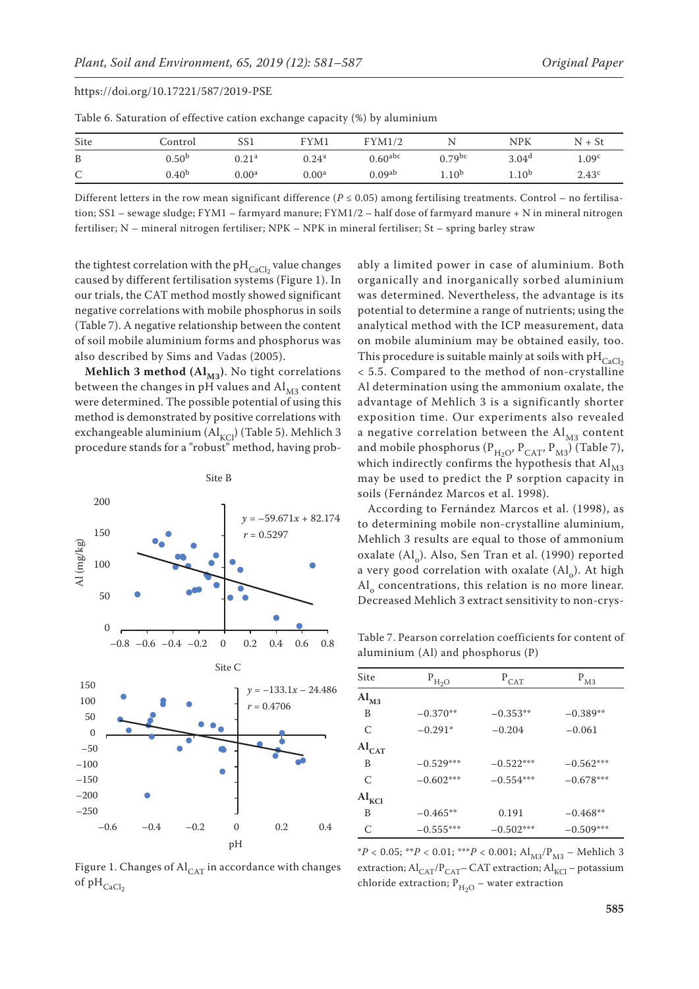| Table 6. Saturation of effective cation exchange capacity (%) by aluminium |                   |                   |                   |                       |                    |                   |                   |
|----------------------------------------------------------------------------|-------------------|-------------------|-------------------|-----------------------|--------------------|-------------------|-------------------|
| Site                                                                       | Control           |                   | FYM1              | FYM1/2                |                    | NPK               | $N + St$          |
| B                                                                          | 0.50 <sup>b</sup> | 0.21 <sup>a</sup> | 0.24 <sup>a</sup> | $0.60$ <sup>abc</sup> | 0.79 <sup>bc</sup> | 3.04 <sup>d</sup> | 1.09 <sup>c</sup> |

Different letters in the row mean significant difference ( $P \le 0.05$ ) among fertilising treatments. Control – no fertilisation; SS1 – sewage sludge; FYM1 – farmyard manure; FYM1/2 – half dose of farmyard manure + N in mineral nitrogen fertiliser; N – mineral nitrogen fertiliser; NPK – NPK in mineral fertiliser; St – spring barley straw

C 0.40<sup>b</sup> 0.00<sup>a</sup> 0.00<sup>a</sup> 0.09<sup>ab</sup> 1.10<sup>b</sup> 1.10<sup>b</sup> 2.43<sup>c</sup>

the tightest correlation with the p $H_{CaCl_2}$  value changes caused by different fertilisation systems (Figure 1). In our trials, the CAT method mostly showed significant negative correlations with mobile phosphorus in soils (Table 7). A negative relationship between the content of soil mobile aluminium forms and phosphorus was also described by Sims and Vadas (2005).

**Mehlich 3 method (** $AI_{M3}$ **)**. No tight correlations between the changes in pH values and  $\text{Al}_{\text{M3}}$  content were determined. The possible potential of using this method is demonstrated by positive correlations with exchangeable aluminium  $(Al_{KCl})$  (Table 5). Mehlich 3 procedure stands for a "robust" method, having prob-



Figure 1. Changes of  $\mathrm{Al}_{CAT}$  in accordance with changes of  $pH_{CaCl<sub>2</sub>}$ 

ably a limited power in case of aluminium. Both organically and inorganically sorbed aluminium was determined. Nevertheless, the advantage is its potential to determine a range of nutrients; using the analytical method with the ICP measurement, data on mobile aluminium may be obtained easily, too. This procedure is suitable mainly at soils with  $pH_{CaCl<sub>2</sub>}$ < 5.5. Compared to the method of non-crystalline Al determination using the ammonium oxalate, the advantage of Mehlich 3 is a significantly shorter exposition time. Our experiments also revealed a negative correlation between the  $\text{Al}_{\text{M3}}$  content and mobile phosphorus ( $P_{H_2O}$ ,  $P_{CAT}$ ,  $P_{M3}$ ) (Table 7), which indirectly confirms the hypothesis that  $Al<sub>M3</sub>$ may be used to predict the P sorption capacity in soils (Fernández Marcos et al. 1998).

According to Fernández Marcos et al. (1998), as to determining mobile non-crystalline aluminium, to determining mosite non er *follantic* diaminium,<br>Mehlich 3 results are equal to those of ammonium  $\alpha$ xalate (Al<sub>o</sub>). Also, Sen Tran et al. (1990) reported a very good correlation with oxalate  $(Al<sub>o</sub>)$ . At high  $Al<sub>o</sub>$  concentrations, this relation is no more linear. Decreased Mehlich 3 extract sensitivity to non-crys*recording to Ternandez marcos et al.*<br>to determining mobile non-crystalline al

Table 7. Pearson correlation coefficients for content of aluminium (Al) and phosphorus (P)

| Site              | $P_{H_2O}$  | $P_{CAT}$   | $P_{M3}$    |
|-------------------|-------------|-------------|-------------|
| $Al_{M3}$         |             |             |             |
| B                 | $-0.370**$  | $-0.353**$  | $-0.389**$  |
| $\mathcal{C}$     | $-0.291*$   | $-0.204$    | $-0.061$    |
| $Al_{CAT}$        |             |             |             |
| B                 | $-0.529***$ | $-0.522***$ | $-0.562***$ |
| C                 | $-0.602***$ | $-0.554***$ | $-0.678***$ |
| $Al_{\text{KCl}}$ |             |             |             |
| B                 | $-0.465**$  | 0.191       | $-0.468**$  |
| C                 | $-0.555***$ | $-0.502***$ | $-0.509***$ |

 $*P < 0.05$ ;  $*P < 0.01$ ;  $**P < 0.001$ ;  $Al_{M3}/P_{M3}$  – Mehlich 3 extraction;  $Al_{CAT}/P_{CAT}$ – CAT extraction;  $Al_{KCl}$  – potassium chloride extraction;  $P_{H_2O}$  – water extraction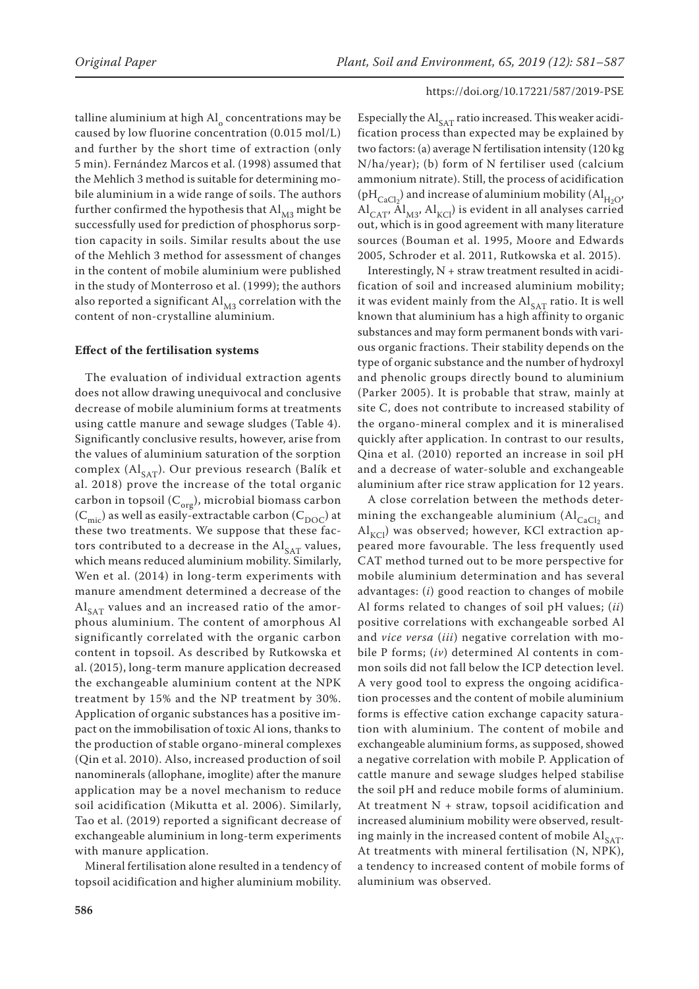talline aluminium at high  $AI<sub>o</sub>$  concentrations may be caused by low fluorine concentration (0.015 mol/L) and further by the short time of extraction (only 5 min). Fernández Marcos et al. (1998) assumed that the Mehlich 3 method is suitable for determining mobile aluminium in a wide range of soils. The authors further confirmed the hypothesis that  $\text{Al}_{\text{M3}}$  might be successfully used for prediction of phosphorus sorption capacity in soils. Similar results about the use of the Mehlich 3 method for assessment of changes in the content of mobile aluminium were published in the study of Monterroso et al. (1999); the authors also reported a significant  $Al<sub>M3</sub>$  correlation with the content of non-crystalline aluminium.

#### **Effect of the fertilisation systems**

The evaluation of individual extraction agents does not allow drawing unequivocal and conclusive decrease of mobile aluminium forms at treatments using cattle manure and sewage sludges (Table 4). Significantly conclusive results, however, arise from the values of aluminium saturation of the sorption complex ( $Al_{SAT}$ ). Our previous research (Balík et al. 2018) prove the increase of the total organic carbon in topsoil  $(C_{org})$ , microbial biomass carbon  $(C_{\text{mic}})$  as well as easily-extractable carbon  $(C_{\text{DOC}})$  at these two treatments. We suppose that these factors contributed to a decrease in the  $\text{Al}_{\text{SAT}}$  values, which means reduced aluminium mobility. Similarly, Wen et al. (2014) in long-term experiments with manure amendment determined a decrease of the  $Al_{SAT}$  values and an increased ratio of the amorphous aluminium. The content of amorphous Al significantly correlated with the organic carbon content in topsoil. As described by Rutkowska et al. (2015), long-term manure application decreased the exchangeable aluminium content at the NPK treatment by 15% and the NP treatment by 30%. Application of organic substances has a positive impact on the immobilisation of toxic Al ions, thanks to the production of stable organo-mineral complexes (Qin et al. 2010). Also, increased production of soil nanominerals (allophane, imoglite) after the manure application may be a novel mechanism to reduce soil acidification (Mikutta et al. 2006). Similarly, Tao et al. (2019) reported a significant decrease of exchangeable aluminium in long-term experiments with manure application.

Mineral fertilisation alone resulted in a tendency of topsoil acidification and higher aluminium mobility.

Especially the  $\text{Al}_{\text{SAT}}$  ratio increased. This weaker acidification process than expected may be explained by two factors: (a) average N fertilisation intensity (120 kg N/ha/year); (b) form of N fertiliser used (calcium ammonium nitrate). Still, the process of acidification ( $\rm pH_{CaCl<sub>2</sub>}$ ) and increase of aluminium mobility ( $\rm Al_{H_2O}$ ,  $\text{Al}_{\text{CAT}}$ ,  $\text{Al}_{\text{M3}}$ ,  $\text{Al}_{\text{KCl}}$ ) is evident in all analyses carried out, which is in good agreement with many literature sources (Bouman et al. 1995, Moore and Edwards 2005, Schroder et al. 2011, Rutkowska et al. 2015).

Interestingly, N + straw treatment resulted in acidification of soil and increased aluminium mobility; it was evident mainly from the  $Al_{SAT}$  ratio. It is well known that aluminium has a high affinity to organic substances and may form permanent bonds with various organic fractions. Their stability depends on the type of organic substance and the number of hydroxyl and phenolic groups directly bound to aluminium (Parker 2005). It is probable that straw, mainly at site C, does not contribute to increased stability of the organo-mineral complex and it is mineralised quickly after application. In contrast to our results, Qina et al. (2010) reported an increase in soil pH and a decrease of water-soluble and exchangeable aluminium after rice straw application for 12 years.

A close correlation between the methods determining the exchangeable aluminium  $(AI_{CaCl<sub>2</sub>}$  and  $\text{Al}_{\text{KCl}}$ ) was observed; however, KCl extraction appeared more favourable. The less frequently used CAT method turned out to be more perspective for mobile aluminium determination and has several advantages: (*i*) good reaction to changes of mobile Al forms related to changes of soil pH values; (*ii*) positive correlations with exchangeable sorbed Al and *vice versa* (*iii*) negative correlation with mobile P forms; (*iv*) determined Al contents in common soils did not fall below the ICP detection level. A very good tool to express the ongoing acidification processes and the content of mobile aluminium forms is effective cation exchange capacity saturation with aluminium. The content of mobile and exchangeable aluminium forms, as supposed, showed a negative correlation with mobile P. Application of cattle manure and sewage sludges helped stabilise the soil pH and reduce mobile forms of aluminium. At treatment N + straw, topsoil acidification and increased aluminium mobility were observed, resulting mainly in the increased content of mobile  $Al_{SAT}$ . At treatments with mineral fertilisation (N, NPK), a tendency to increased content of mobile forms of aluminium was observed.